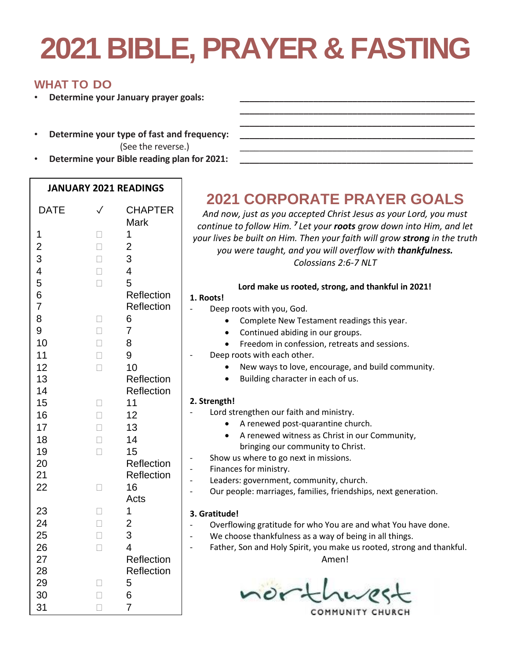# **2021 BIBLE, PRAYER & FASTING**

### **WHAT TO DO**

- **Determine your January prayer goals: \_\_\_\_\_\_\_\_\_\_\_\_\_\_\_\_\_\_\_\_\_\_\_\_\_\_\_\_\_\_\_\_\_\_\_\_\_\_\_\_\_\_\_\_\_\_\_\_**
- **Determine your type of fast and frequency: \_\_\_\_\_\_\_\_\_\_\_\_\_\_\_\_\_\_\_\_\_\_\_\_\_\_\_\_\_\_\_\_\_\_\_\_\_\_\_\_\_\_\_\_\_\_\_\_**

(See the reverse.)

Determine your Bible reading plan for 2021:

#### **JANUARY 2021 READINGS**

| <b>DATE</b>    |        | <b>CHAPTER</b> |
|----------------|--------|----------------|
|                |        | <b>Mark</b>    |
| 1              |        | 1              |
| $\overline{c}$ | $\Box$ | $\overline{c}$ |
| $\frac{3}{4}$  | П      | 3              |
|                | П      | $\overline{4}$ |
| 5              | $\Box$ | 5              |
| 6              |        | Reflection     |
| $\overline{7}$ |        | Reflection     |
| 8              | П      | 6              |
| 9              | $\Box$ | $\overline{7}$ |
| 10             |        | 8              |
| 11             | П      | 9              |
| 12             | $\Box$ | 10             |
| 13             |        | Reflection     |
| 14             |        | Reflection     |
| 15             | П      | 11             |
| 16             | П      | 12             |
| 17             | П      | 13             |
| 18             | П      | 14             |
| 19             | $\Box$ | 15             |
| 20             |        | Reflection     |
| 21             |        | Reflection     |
| 22             | П      | 16             |
|                |        | Acts           |
| 23             |        | 1              |
| 24             |        |                |
| 25             | П      | $\frac{2}{3}$  |
| 26             | $\Box$ | $\overline{4}$ |
| 27             |        | Reflection     |
| 28             |        | Reflection     |
| 29             | П      | 5              |
| 30             |        | 6              |
| 31             |        | $\overline{7}$ |
|                |        |                |

# **2021 CORPORATE PRAYER GOALS**

**\_\_\_\_\_\_\_\_\_\_\_\_\_\_\_\_\_\_\_\_\_\_\_\_\_\_\_\_\_\_\_\_\_\_\_\_\_\_\_\_\_\_\_\_\_\_\_\_ \_\_\_\_\_\_\_\_\_\_\_\_\_\_\_\_\_\_\_\_\_\_\_\_\_\_\_\_\_\_\_\_\_\_\_\_\_\_\_\_\_\_\_\_\_\_\_\_**

*And now, just as you accepted Christ Jesus as your Lord, you must continue to follow Him. <sup>7</sup> Let your roots grow down into Him, and let your lives be built on Him. Then your faith will grow strong in the truth you were taught, and you will overflow with thankfulness. Colossians 2:6-7 NLT*

|           | Lord make us rooted, strong, and thankful in 2021!                    |  |  |
|-----------|-----------------------------------------------------------------------|--|--|
| eflection | 1. Roots!                                                             |  |  |
| eflection | Deep roots with you, God.                                             |  |  |
|           | Complete New Testament readings this year.                            |  |  |
|           | Continued abiding in our groups.                                      |  |  |
|           | Freedom in confession, retreats and sessions.                         |  |  |
|           | Deep roots with each other.                                           |  |  |
|           | New ways to love, encourage, and build community.                     |  |  |
| eflection | Building character in each of us.                                     |  |  |
| eflection |                                                                       |  |  |
|           | 2. Strength!                                                          |  |  |
|           | Lord strengthen our faith and ministry.                               |  |  |
|           | A renewed post-quarantine church.                                     |  |  |
| 4         | A renewed witness as Christ in our Community,                         |  |  |
| 5         | bringing our community to Christ.                                     |  |  |
| eflection | Show us where to go next in missions.                                 |  |  |
|           | Finances for ministry.                                                |  |  |
| eflection | Leaders: government, community, church.                               |  |  |
| 5         | Our people: marriages, families, friendships, next generation.        |  |  |
| cts       |                                                                       |  |  |
|           | 3. Gratitude!                                                         |  |  |
|           | Overflowing gratitude for who You are and what You have done.         |  |  |
|           | We choose thankfulness as a way of being in all things.               |  |  |
|           | Father, Son and Holy Spirit, you make us rooted, strong and thankful. |  |  |
| eflection | Amen!                                                                 |  |  |
| eflection |                                                                       |  |  |
|           |                                                                       |  |  |
|           |                                                                       |  |  |
|           | OMMUNITY CHURCH                                                       |  |  |